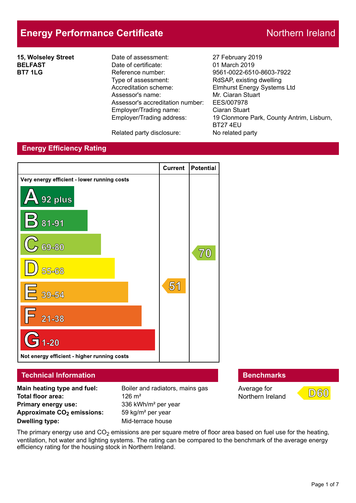# **Energy Performance Certificate** Northern Ireland

**15, Wolseley Street BELFAST BT7 1LG**

Date of assessment: 27 February 2019 Date of certificate: 01 March 2019 Reference number: 9561-0022-6510-8603-7922 Type of assessment: RdSAP, existing dwelling Accreditation scheme: Elmhurst Energy Systems Ltd Assessor's name: Mr. Ciaran Stuart Assessor's accreditation number: EES/007978 Employer/Trading name: Ciaran Stuart

Employer/Trading address: 19 Clonmore Park, County Antrim, Lisburn, BT27 4EU

Related party disclosure: No related party

### **Energy Efficiency Rating**



**Approximate CO2 emissions:** 59 kg/m² per year **Dwelling type:** Mid-terrace house

Average for Northern Ireland



The primary energy use and  $CO<sub>2</sub>$  emissions are per square metre of floor area based on fuel use for the heating, ventilation, hot water and lighting systems. The rating can be compared to the benchmark of the average energy efficiency rating for the housing stock in Northern Ireland.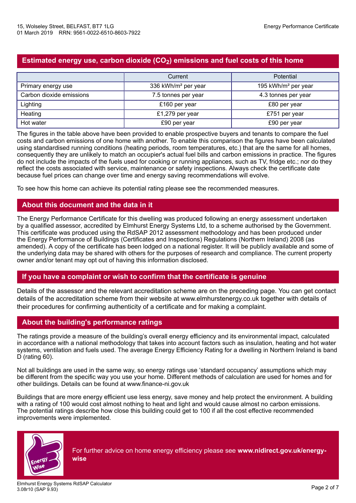### **Estimated energy use, carbon dioxide (CO2) emissions and fuel costs of this home**

|                          | Current                         | <b>Potential</b>                |
|--------------------------|---------------------------------|---------------------------------|
| Primary energy use       | 336 kWh/m <sup>2</sup> per year | 195 kWh/m <sup>2</sup> per year |
| Carbon dioxide emissions | 7.5 tonnes per year             | 4.3 tonnes per year             |
| Lighting                 | £160 per year                   | £80 per year                    |
| Heating                  | £1,279 per year                 | £751 per year                   |
| Hot water                | £90 per year                    | £90 per year                    |

The figures in the table above have been provided to enable prospective buyers and tenants to compare the fuel costs and carbon emissions of one home with another. To enable this comparison the figures have been calculated using standardised running conditions (heating periods, room temperatures, etc.) that are the same for all homes, consequently they are unlikely to match an occupier's actual fuel bills and carbon emissions in practice. The figures do not include the impacts of the fuels used for cooking or running appliances, such as TV, fridge etc.; nor do they reflect the costs associated with service, maintenance or safety inspections. Always check the certificate date because fuel prices can change over time and energy saving recommendations will evolve.

To see how this home can achieve its potential rating please see the recommended measures.

### **About this document and the data in it**

The Energy Performance Certificate for this dwelling was produced following an energy assessment undertaken by a qualified assessor, accredited by Elmhurst Energy Systems Ltd, to a scheme authorised by the Government. This certificate was produced using the RdSAP 2012 assessment methodology and has been produced under the Energy Performance of Buildings (Certificates and Inspections) Regulations (Northern Ireland) 2008 (as amended). A copy of the certificate has been lodged on a national register. It will be publicly available and some of the underlying data may be shared with others for the purposes of research and compliance. The current property owner and/or tenant may opt out of having this information disclosed.

### **If you have a complaint or wish to confirm that the certificate is genuine**

Details of the assessor and the relevant accreditation scheme are on the preceding page. You can get contact details of the accreditation scheme from their website at www.elmhurstenergy.co.uk together with details of their procedures for confirming authenticity of a certificate and for making a complaint.

### **About the building's performance ratings**

The ratings provide a measure of the building's overall energy efficiency and its environmental impact, calculated in accordance with a national methodology that takes into account factors such as insulation, heating and hot water systems, ventilation and fuels used. The average Energy Efficiency Rating for a dwelling in Northern Ireland is band D (rating 60).

Not all buildings are used in the same way, so energy ratings use 'standard occupancy' assumptions which may be different from the specific way you use your home. Different methods of calculation are used for homes and for other buildings. Details can be found at www.finance-ni.gov.uk

Buildings that are more energy efficient use less energy, save money and help protect the environment. A building with a rating of 100 would cost almost nothing to heat and light and would cause almost no carbon emissions. The potential ratings describe how close this building could get to 100 if all the cost effective recommended improvements were implemented.



For further advice on home energy efficiency please see **www.nidirect.gov.uk/energy-**

**wise**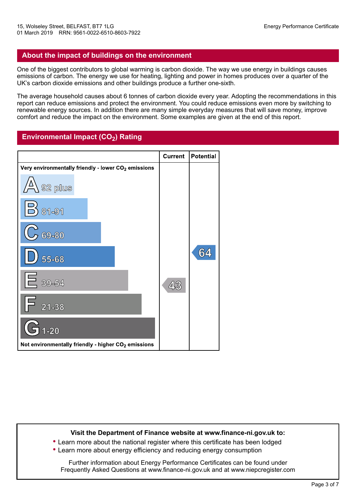### **About the impact of buildings on the environment**

One of the biggest contributors to global warming is carbon dioxide. The way we use energy in buildings causes emissions of carbon. The energy we use for heating, lighting and power in homes produces over a quarter of the UK's carbon dioxide emissions and other buildings produce a further one-sixth.

The average household causes about 6 tonnes of carbon dioxide every year. Adopting the recommendations in this report can reduce emissions and protect the environment. You could reduce emissions even more by switching to renewable energy sources. In addition there are many simple everyday measures that will save money, improve comfort and reduce the impact on the environment. Some examples are given at the end of this report.

### **Environmental Impact (CO2) Rating**



#### **Visit the Department of Finance website at www.finance-ni.gov.uk to:**

**•** Learn more about the national register where this certificate has been lodged **•** Learn more about energy efficiency and reducing energy consumption

Further information about Energy Performance Certificates can be found under Frequently Asked Questions at www.finance-ni.gov.uk and at www.niepcregister.com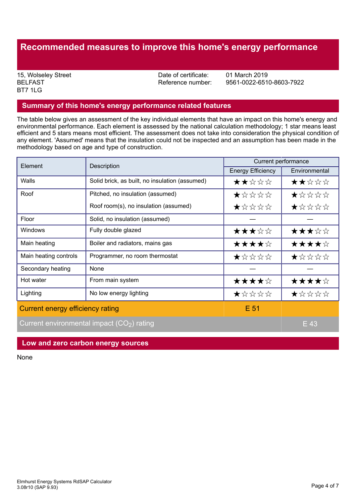## **Recommended measures to improve this home's energy performance**

BELFAST BT7 1LG

15, Wolseley Street **15, Wolseley Street** 2019<br>BELFAST 851-0022-651

Reference number: 9561-0022-6510-8603-7922

#### **Summary of this home's energy performance related features**

The table below gives an assessment of the key individual elements that have an impact on this home's energy and environmental performance. Each element is assessed by the national calculation methodology; 1 star means least efficient and 5 stars means most efficient. The assessment does not take into consideration the physical condition of any element. 'Assumed' means that the insulation could not be inspected and an assumption has been made in the methodology based on age and type of construction.

| Element                          | Description                                    | Current performance      |                    |  |
|----------------------------------|------------------------------------------------|--------------------------|--------------------|--|
|                                  |                                                | <b>Energy Efficiency</b> | Environmental      |  |
| Walls                            | Solid brick, as built, no insulation (assumed) | ★★☆☆☆                    | ★★☆☆☆              |  |
| Roof                             | Pitched, no insulation (assumed)               | $\bigstar x x x x$       | ★☆☆☆☆              |  |
|                                  | Roof room(s), no insulation (assumed)          | ★☆☆☆☆                    | $\bigstar x x x x$ |  |
| Floor                            | Solid, no insulation (assumed)                 |                          |                    |  |
| Windows                          | Fully double glazed                            | ★★★☆☆                    | ★★★☆☆              |  |
| Main heating                     | Boiler and radiators, mains gas                | ★★★★☆                    | ★★★★☆              |  |
| Main heating controls            | Programmer, no room thermostat                 | ★☆☆☆☆                    | *****              |  |
| Secondary heating                | None                                           |                          |                    |  |
| Hot water                        | From main system                               | ★★★★☆                    | ★★★★☆              |  |
| Lighting                         | No low energy lighting                         | ★☆☆☆☆                    | ★☆☆☆☆              |  |
| Current energy efficiency rating |                                                | $E$ 51                   |                    |  |
|                                  | Current environmental impact $(CO2)$ rating    |                          | E 43               |  |

### **Low and zero carbon energy sources**

None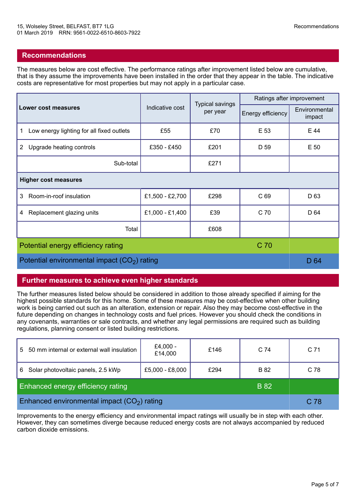The measures below are cost effective. The performance ratings after improvement listed below are cumulative, that is they assume the improvements have been installed in the order that they appear in the table. The indicative costs are representative for most properties but may not apply in a particular case.

| <b>Lower cost measures</b>         |                                           | Indicative cost | <b>Typical savings</b><br>per year | Ratings after improvement |                         |
|------------------------------------|-------------------------------------------|-----------------|------------------------------------|---------------------------|-------------------------|
|                                    |                                           |                 |                                    | Energy efficiency         | Environmental<br>impact |
| 1                                  | Low energy lighting for all fixed outlets | £55             | £70                                | E 53                      | E 44                    |
| $\mathbf{2}^{\prime}$              | Upgrade heating controls                  | £350 - £450     | £201                               | D 59                      | E 50                    |
|                                    | Sub-total                                 |                 | £271                               |                           |                         |
| <b>Higher cost measures</b>        |                                           |                 |                                    |                           |                         |
| 3                                  | Room-in-roof insulation                   | £1,500 - £2,700 | £298                               | C 69                      | D <sub>63</sub>         |
| 4                                  | Replacement glazing units                 | £1,000 - £1,400 | £39                                | C 70                      | D 64                    |
|                                    | Total                                     |                 | £608                               |                           |                         |
| Potential energy efficiency rating |                                           |                 |                                    | C 70                      |                         |

### Potential environmental impact  $(CO<sub>2</sub>)$  rating D 64

### **Further measures to achieve even higher standards**

The further measures listed below should be considered in addition to those already specified if aiming for the highest possible standards for this home. Some of these measures may be cost-effective when other building work is being carried out such as an alteration, extension or repair. Also they may become cost-effective in the future depending on changes in technology costs and fuel prices. However you should check the conditions in any covenants, warranties or sale contracts, and whether any legal permissions are required such as building regulations, planning consent or listed building restrictions.

| 5                                                       | 50 mm internal or external wall insulation | £4,000 -<br>£14,000 | £146 | C <sub>74</sub> | C <sub>71</sub> |
|---------------------------------------------------------|--------------------------------------------|---------------------|------|-----------------|-----------------|
| 6                                                       | Solar photovoltaic panels, 2.5 kWp         | £5,000 - £8,000     | £294 | <b>B</b> 82     | C <sub>78</sub> |
| <b>Enhanced energy efficiency rating</b><br><b>B</b> 82 |                                            |                     |      |                 |                 |
| Enhanced environmental impact $(CO2)$ rating            |                                            |                     |      | C 78            |                 |

Improvements to the energy efficiency and environmental impact ratings will usually be in step with each other. However, they can sometimes diverge because reduced energy costs are not always accompanied by reduced carbon dioxide emissions.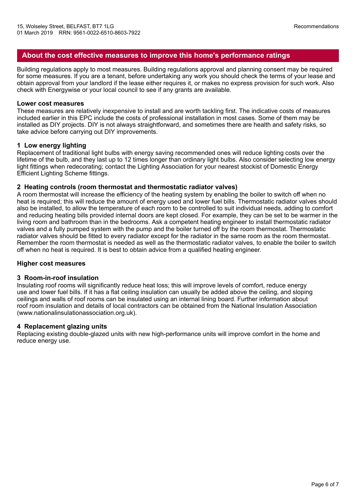### **About the cost effective measures to improve this home's performance ratings**

Building regulations apply to most measures. Building regulations approval and planning consent may be required for some measures. If you are a tenant, before undertaking any work you should check the terms of your lease and obtain approval from your landlord if the lease either requires it, or makes no express provision for such work. Also check with Energywise or your local council to see if any grants are available.

#### **Lower cost measures**

These measures are relatively inexpensive to install and are worth tackling first. The indicative costs of measures included earlier in this EPC include the costs of professional installation in most cases. Some of them may be installed as DIY projects. DIY is not always straightforward, and sometimes there are health and safety risks, so take advice before carrying out DIY improvements.

#### **1 Low energy lighting**

Replacement of traditional light bulbs with energy saving recommended ones will reduce lighting costs over the lifetime of the bulb, and they last up to 12 times longer than ordinary light bulbs. Also consider selecting low energy light fittings when redecorating; contact the Lighting Association for your nearest stockist of Domestic Energy Efficient Lighting Scheme fittings.

#### **2 Heating controls (room thermostat and thermostatic radiator valves)**

A room thermostat will increase the efficiency of the heating system by enabling the boiler to switch off when no heat is required; this will reduce the amount of energy used and lower fuel bills. Thermostatic radiator valves should also be installed, to allow the temperature of each room to be controlled to suit individual needs, adding to comfort and reducing heating bills provided internal doors are kept closed. For example, they can be set to be warmer in the living room and bathroom than in the bedrooms. Ask a competent heating engineer to install thermostatic radiator valves and a fully pumped system with the pump and the boiler turned off by the room thermostat. Thermostatic radiator valves should be fitted to every radiator except for the radiator in the same room as the room thermostat. Remember the room thermostat is needed as well as the thermostatic radiator valves, to enable the boiler to switch off when no heat is required. It is best to obtain advice from a qualified heating engineer.

#### **Higher cost measures**

#### **3 Room-in-roof insulation**

Insulating roof rooms will significantly reduce heat loss; this will improve levels of comfort, reduce energy use and lower fuel bills. If it has a flat ceiling insulation can usually be added above the ceiling, and sloping ceilings and walls of roof rooms can be insulated using an internal lining board. Further information about roof room insulation and details of local contractors can be obtained from the National Insulation Association (www.nationalinsulationassociation.org.uk).

#### **4 Replacement glazing units**

Replacing existing double-glazed units with new high-performance units will improve comfort in the home and reduce energy use.